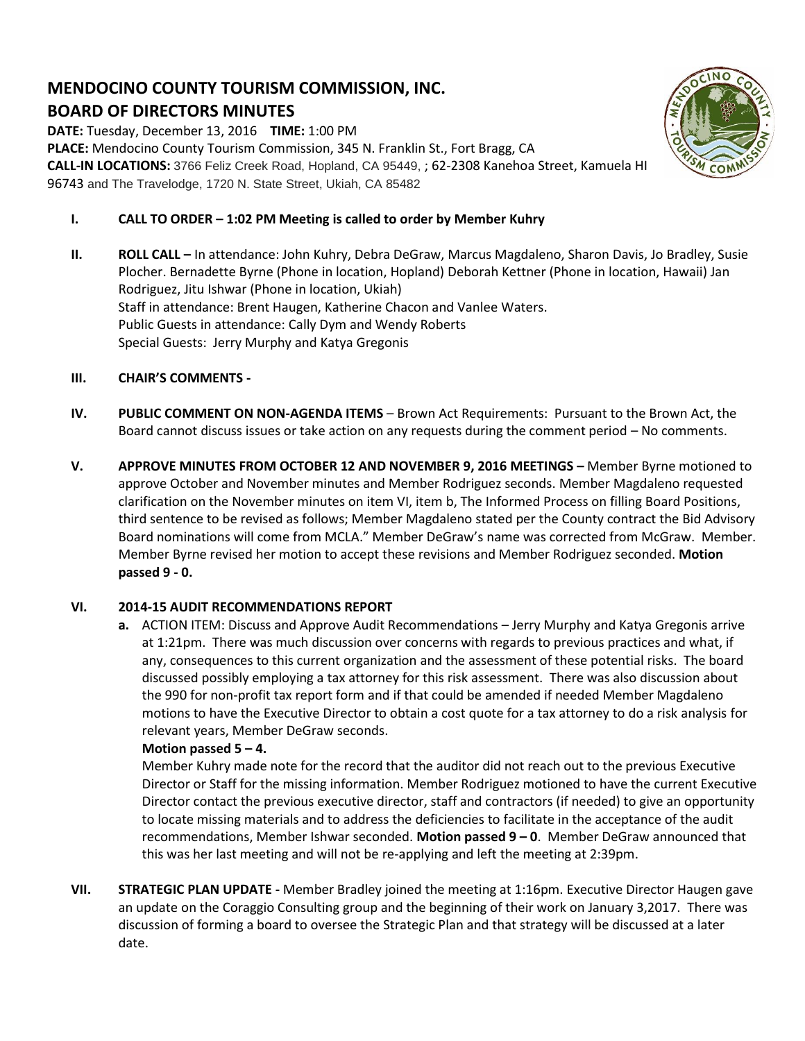# **MENDOCINO COUNTY TOURISM COMMISSION, INC. BOARD OF DIRECTORS MINUTES**

**DATE:** Tuesday, December 13, 2016 **TIME:** 1:00 PM **PLACE:** Mendocino County Tourism Commission, 345 N. Franklin St., Fort Bragg, CA **CALL-IN LOCATIONS:** 3766 Feliz Creek Road, Hopland, CA 95449, ; 62-2308 Kanehoa Street, Kamuela HI 96743 and The Travelodge, 1720 N. State Street, Ukiah, CA 85482



- **I. CALL TO ORDER – 1:02 PM Meeting is called to order by Member Kuhry**
- **II. ROLL CALL –** In attendance: John Kuhry, Debra DeGraw, Marcus Magdaleno, Sharon Davis, Jo Bradley, Susie Plocher. Bernadette Byrne (Phone in location, Hopland) Deborah Kettner (Phone in location, Hawaii) Jan Rodriguez, Jitu Ishwar (Phone in location, Ukiah) Staff in attendance: Brent Haugen, Katherine Chacon and Vanlee Waters. Public Guests in attendance: Cally Dym and Wendy Roberts Special Guests: Jerry Murphy and Katya Gregonis

# **III. CHAIR'S COMMENTS -**

- **IV. PUBLIC COMMENT ON NON-AGENDA ITEMS** Brown Act Requirements: Pursuant to the Brown Act, the Board cannot discuss issues or take action on any requests during the comment period – No comments.
- **V. APPROVE MINUTES FROM OCTOBER 12 AND NOVEMBER 9, 2016 MEETINGS –** Member Byrne motioned to approve October and November minutes and Member Rodriguez seconds. Member Magdaleno requested clarification on the November minutes on item VI, item b, The Informed Process on filling Board Positions, third sentence to be revised as follows; Member Magdaleno stated per the County contract the Bid Advisory Board nominations will come from MCLA." Member DeGraw's name was corrected from McGraw. Member. Member Byrne revised her motion to accept these revisions and Member Rodriguez seconded. **Motion passed 9 - 0.**

# **VI. 2014-15 AUDIT RECOMMENDATIONS REPORT**

**a.** ACTION ITEM: Discuss and Approve Audit Recommendations – Jerry Murphy and Katya Gregonis arrive at 1:21pm. There was much discussion over concerns with regards to previous practices and what, if any, consequences to this current organization and the assessment of these potential risks. The board discussed possibly employing a tax attorney for this risk assessment. There was also discussion about the 990 for non-profit tax report form and if that could be amended if needed Member Magdaleno motions to have the Executive Director to obtain a cost quote for a tax attorney to do a risk analysis for relevant years, Member DeGraw seconds.

# **Motion passed 5 – 4.**

Member Kuhry made note for the record that the auditor did not reach out to the previous Executive Director or Staff for the missing information. Member Rodriguez motioned to have the current Executive Director contact the previous executive director, staff and contractors (if needed) to give an opportunity to locate missing materials and to address the deficiencies to facilitate in the acceptance of the audit recommendations, Member Ishwar seconded. **Motion passed 9 – 0**. Member DeGraw announced that this was her last meeting and will not be re-applying and left the meeting at 2:39pm.

**VII. STRATEGIC PLAN UPDATE -** Member Bradley joined the meeting at 1:16pm. Executive Director Haugen gave an update on the Coraggio Consulting group and the beginning of their work on January 3,2017. There was discussion of forming a board to oversee the Strategic Plan and that strategy will be discussed at a later date.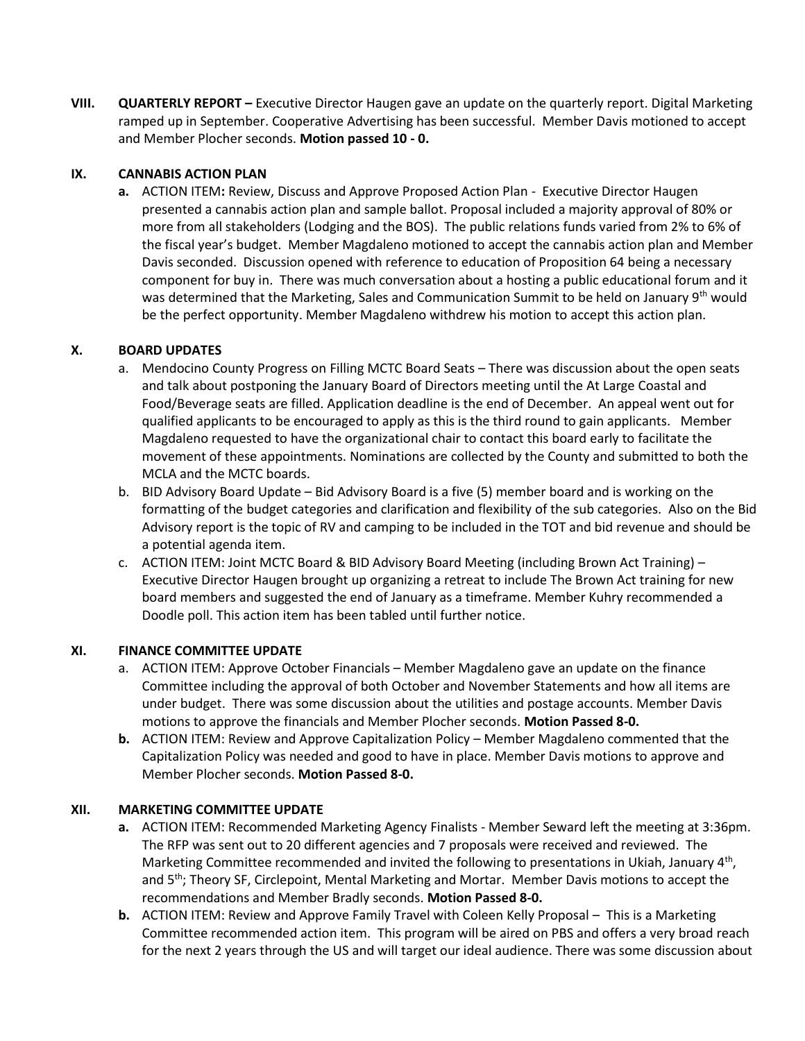**VIII. QUARTERLY REPORT –** Executive Director Haugen gave an update on the quarterly report. Digital Marketing ramped up in September. Cooperative Advertising has been successful. Member Davis motioned to accept and Member Plocher seconds. **Motion passed 10 - 0.**

## **IX. CANNABIS ACTION PLAN**

**a.** ACTION ITEM**:** Review, Discuss and Approve Proposed Action Plan - Executive Director Haugen presented a cannabis action plan and sample ballot. Proposal included a majority approval of 80% or more from all stakeholders (Lodging and the BOS). The public relations funds varied from 2% to 6% of the fiscal year's budget. Member Magdaleno motioned to accept the cannabis action plan and Member Davis seconded. Discussion opened with reference to education of Proposition 64 being a necessary component for buy in. There was much conversation about a hosting a public educational forum and it was determined that the Marketing, Sales and Communication Summit to be held on January 9<sup>th</sup> would be the perfect opportunity. Member Magdaleno withdrew his motion to accept this action plan.

# **X. BOARD UPDATES**

- a. Mendocino County Progress on Filling MCTC Board Seats There was discussion about the open seats and talk about postponing the January Board of Directors meeting until the At Large Coastal and Food/Beverage seats are filled. Application deadline is the end of December. An appeal went out for qualified applicants to be encouraged to apply as this is the third round to gain applicants. Member Magdaleno requested to have the organizational chair to contact this board early to facilitate the movement of these appointments. Nominations are collected by the County and submitted to both the MCLA and the MCTC boards.
- b. BID Advisory Board Update Bid Advisory Board is a five (5) member board and is working on the formatting of the budget categories and clarification and flexibility of the sub categories. Also on the Bid Advisory report is the topic of RV and camping to be included in the TOT and bid revenue and should be a potential agenda item.
- c. ACTION ITEM: Joint MCTC Board & BID Advisory Board Meeting (including Brown Act Training) Executive Director Haugen brought up organizing a retreat to include The Brown Act training for new board members and suggested the end of January as a timeframe. Member Kuhry recommended a Doodle poll. This action item has been tabled until further notice.

## **XI. FINANCE COMMITTEE UPDATE**

- a. ACTION ITEM: Approve October Financials Member Magdaleno gave an update on the finance Committee including the approval of both October and November Statements and how all items are under budget. There was some discussion about the utilities and postage accounts. Member Davis motions to approve the financials and Member Plocher seconds. **Motion Passed 8-0.**
- **b.** ACTION ITEM: Review and Approve Capitalization Policy Member Magdaleno commented that the Capitalization Policy was needed and good to have in place. Member Davis motions to approve and Member Plocher seconds. **Motion Passed 8-0.**

# **XII. MARKETING COMMITTEE UPDATE**

- **a.** ACTION ITEM: Recommended Marketing Agency Finalists Member Seward left the meeting at 3:36pm. The RFP was sent out to 20 different agencies and 7 proposals were received and reviewed. The Marketing Committee recommended and invited the following to presentations in Ukiah, January 4<sup>th</sup>, and 5<sup>th</sup>; Theory SF, Circlepoint, Mental Marketing and Mortar. Member Davis motions to accept the recommendations and Member Bradly seconds. **Motion Passed 8-0.**
- **b.** ACTION ITEM: Review and Approve Family Travel with Coleen Kelly Proposal This is a Marketing Committee recommended action item. This program will be aired on PBS and offers a very broad reach for the next 2 years through the US and will target our ideal audience. There was some discussion about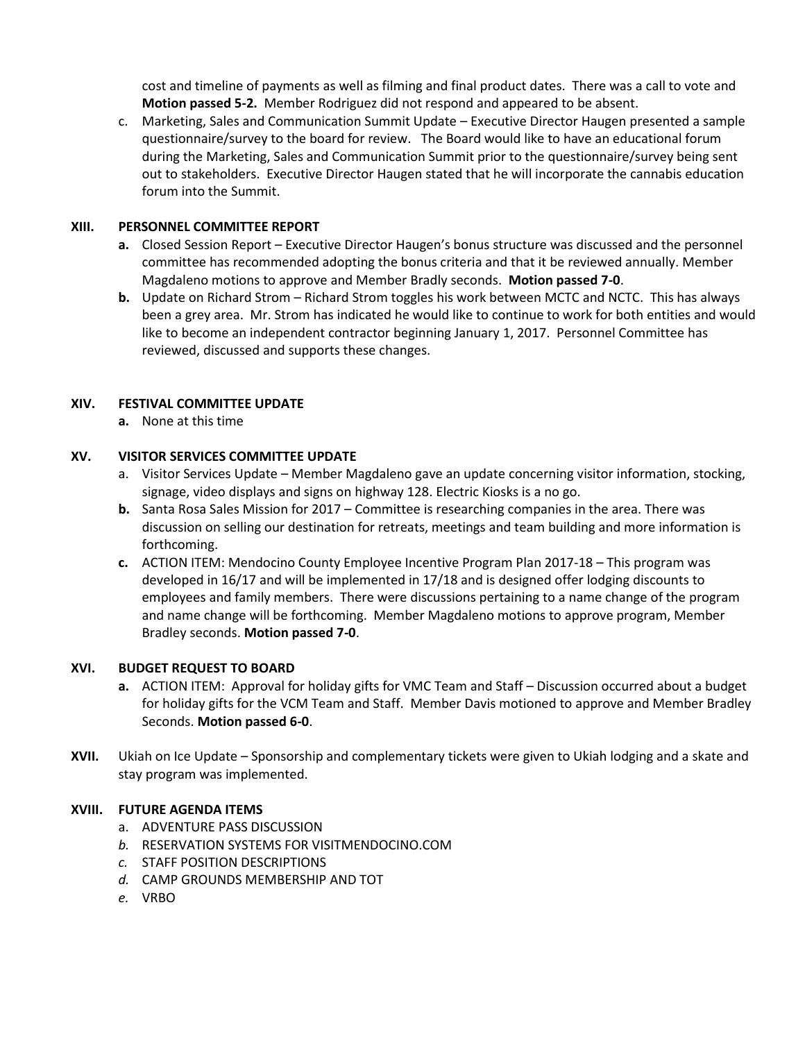cost and timeline of payments as well as filming and final product dates. There was a call to vote and **Motion passed 5-2.** Member Rodriguez did not respond and appeared to be absent.

c. Marketing, Sales and Communication Summit Update – Executive Director Haugen presented a sample questionnaire/survey to the board for review. The Board would like to have an educational forum during the Marketing, Sales and Communication Summit prior to the questionnaire/survey being sent out to stakeholders. Executive Director Haugen stated that he will incorporate the cannabis education forum into the Summit.

## **XIII. PERSONNEL COMMITTEE REPORT**

- **a.** Closed Session Report Executive Director Haugen's bonus structure was discussed and the personnel committee has recommended adopting the bonus criteria and that it be reviewed annually. Member Magdaleno motions to approve and Member Bradly seconds. **Motion passed 7-0**.
- **b.** Update on Richard Strom Richard Strom toggles his work between MCTC and NCTC. This has always been a grey area. Mr. Strom has indicated he would like to continue to work for both entities and would like to become an independent contractor beginning January 1, 2017. Personnel Committee has reviewed, discussed and supports these changes.

#### **XIV. FESTIVAL COMMITTEE UPDATE**

**a.** None at this time

## **XV. VISITOR SERVICES COMMITTEE UPDATE**

- a. Visitor Services Update Member Magdaleno gave an update concerning visitor information, stocking, signage, video displays and signs on highway 128. Electric Kiosks is a no go.
- **b.** Santa Rosa Sales Mission for 2017 Committee is researching companies in the area. There was discussion on selling our destination for retreats, meetings and team building and more information is forthcoming.
- **c.** ACTION ITEM: Mendocino County Employee Incentive Program Plan 2017-18 This program was developed in 16/17 and will be implemented in 17/18 and is designed offer lodging discounts to employees and family members. There were discussions pertaining to a name change of the program and name change will be forthcoming. Member Magdaleno motions to approve program, Member Bradley seconds. **Motion passed 7-0**.

#### **XVI. BUDGET REQUEST TO BOARD**

- **a.** ACTION ITEM: Approval for holiday gifts for VMC Team and Staff Discussion occurred about a budget for holiday gifts for the VCM Team and Staff. Member Davis motioned to approve and Member Bradley Seconds. **Motion passed 6-0**.
- **XVII.** Ukiah on Ice Update Sponsorship and complementary tickets were given to Ukiah lodging and a skate and stay program was implemented.

## **XVIII. FUTURE AGENDA ITEMS**

- a. ADVENTURE PASS DISCUSSION
- *b.* RESERVATION SYSTEMS FOR VISITMENDOCINO.COM
- *c.* STAFF POSITION DESCRIPTIONS
- *d.* CAMP GROUNDS MEMBERSHIP AND TOT
- *e.* VRBO